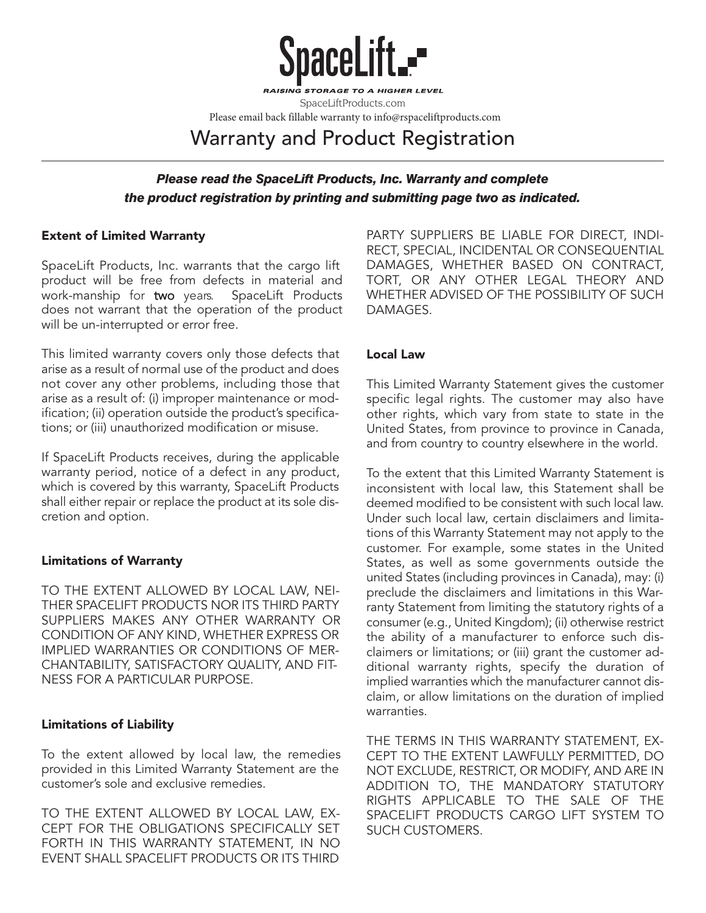

TO A HIGHER LEVEL SpaceLiftProducts.com

Please email back fillable warranty to info@rspaceliftproducts.com

Warranty and Product Registration

# *Please read the SpaceLift Products, Inc. Warranty and complete the product registration by printing and submitting page two as indicated.*

## **Extent of Limited Warranty**

SpaceLift Products, Inc. warrants that the cargo lift product will be free from defects in material and work-manship for two years. SpaceLift Products does not warrant that the operation of the product will be un-interrupted or error free.

This limited warranty covers only those defects that arise as a result of normal use of the product and does not cover any other problems, including those that arise as a result of: (i) improper maintenance or modification; (ii) operation outside the product's specifications; or (iii) unauthorized modification or misuse.

If SpaceLift Products receives, during the applicable warranty period, notice of a defect in any product, which is covered by this warranty, SpaceLift Products shall either repair or replace the product at its sole discretion and option.

# **Limitations of Warranty**

TO THE EXTENT ALLOWED BY LOCAL LAW, NEI-THER SPACELIFT PRODUCTS NOR ITS THIRD PARTY SUPPLIERS MAKES ANY OTHER WARRANTY OR CONDITION OF ANY KIND, WHETHER EXPRESS OR IMPLIED WARRANTIES OR CONDITIONS OF MER-CHANTABILITY, SATISFACTORY QUALITY, AND FIT-NESS FOR A PARTICULAR PURPOSE.

#### **Limitations of Liability**

To the extent allowed by local law, the remedies provided in this Limited Warranty Statement are the customer's sole and exclusive remedies.

TO THE EXTENT ALLOWED BY LOCAL LAW, EX-CEPT FOR THE OBLIGATIONS SPECIFICALLY SET FORTH IN THIS WARRANTY STATEMENT, IN NO EVENT SHALL SPACELIFT PRODUCTS OR ITS THIRD

PARTY SUPPLIERS BE LIABLE FOR DIRECT, INDI-RECT, SPECIAL, INCIDENTAL OR CONSEQUENTIAL DAMAGES, WHETHER BASED ON CONTRACT, TORT, OR ANY OTHER LEGAL THEORY AND WHETHER ADVISED OF THE POSSIBILITY OF SUCH DAMAGES.

## **Local Law**

This Limited Warranty Statement gives the customer specific legal rights. The customer may also have other rights, which vary from state to state in the United States, from province to province in Canada, and from country to country elsewhere in the world.

To the extent that this Limited Warranty Statement is inconsistent with local law, this Statement shall be deemed modified to be consistent with such local law. Under such local law, certain disclaimers and limitations of this Warranty Statement may not apply to the customer. For example, some states in the United States, as well as some governments outside the united States (including provinces in Canada), may: (i) preclude the disclaimers and limitations in this Warranty Statement from limiting the statutory rights of a consumer (e.g., United Kingdom); (ii) otherwise restrict the ability of a manufacturer to enforce such disclaimers or limitations; or (iii) grant the customer additional warranty rights, specify the duration of implied warranties which the manufacturer cannot disclaim, or allow limitations on the duration of implied warranties.

THE TERMS IN THIS WARRANTY STATEMENT, EX-CEPT TO THE EXTENT LAWFULLY PERMITTED, DO NOT EXCLUDE, RESTRICT, OR MODIFY, AND ARE IN ADDITION TO, THE MANDATORY STATUTORY RIGHTS APPLICABLE TO THE SALE OF THE SPACELIFT PRODUCTS CARGO LIFT SYSTEM TO SUCH CUSTOMERS.